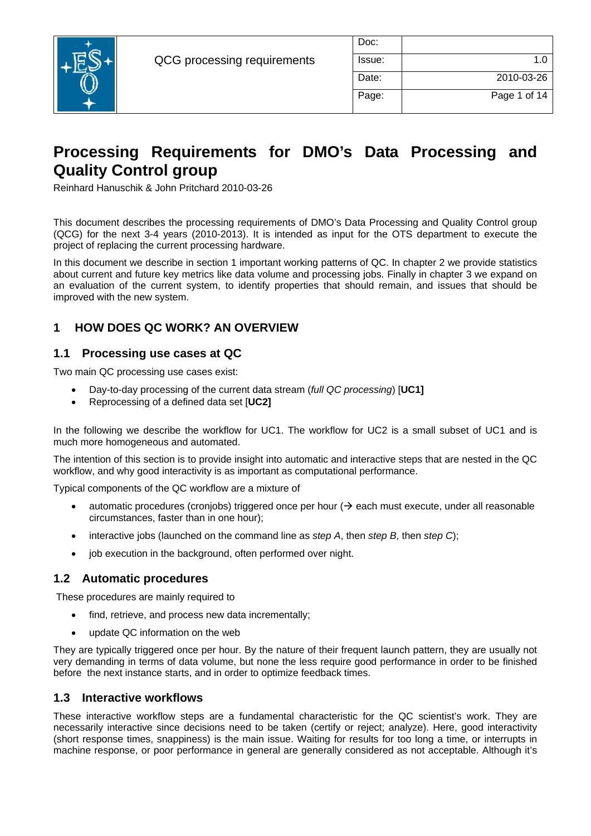

| Doc:   |              |
|--------|--------------|
| Issue: | 1.0          |
| Date:  | 2010-03-26   |
| Page:  | Page 1 of 14 |

# **Processing Requirements for DMO's Data Processing and Quality Control group**

Reinhard Hanuschik & John Pritchard 2010-03-26

This document describes the processing requirements of DMO's Data Processing and Quality Control group (QCG) for the next 3-4 years (2010-2013). It is intended as input for the OTS department to execute the project of replacing the current processing hardware.

In this document we describe in section 1 important working patterns of QC. In chapter 2 we provide statistics about current and future key metrics like data volume and processing jobs. Finally in chapter 3 we expand on an evaluation of the current system, to identify properties that should remain, and issues that should be improved with the new system.

## **1 HOW DOES QC WORK? AN OVERVIEW**

#### **1.1 Processing use cases at QC**

Two main QC processing use cases exist:

- Day-to-day processing of the current data stream (*full QC processing*) [**UC1]**
- Reprocessing of a defined data set [**UC2]**

In the following we describe the workflow for UC1. The workflow for UC2 is a small subset of UC1 and is much more homogeneous and automated.

The intention of this section is to provide insight into automatic and interactive steps that are nested in the QC workflow, and why good interactivity is as important as computational performance.

Typical components of the QC workflow are a mixture of

- automatic procedures (cronjobs) triggered once per hour  $(\rightarrow$  each must execute, under all reasonable circumstances, faster than in one hour);
- interactive jobs (launched on the command line as *step A*, then *step B*, then *step C*);
- job execution in the background, often performed over night.

#### **1.2 Automatic procedures**

These procedures are mainly required to

- find, retrieve, and process new data incrementally;
- update QC information on the web

They are typically triggered once per hour. By the nature of their frequent launch pattern, they are usually not very demanding in terms of data volume, but none the less require good performance in order to be finished before the next instance starts, and in order to optimize feedback times.

#### **1.3 Interactive workflows**

These interactive workflow steps are a fundamental characteristic for the QC scientist's work. They are necessarily interactive since decisions need to be taken (certify or reject; analyze). Here, good interactivity (short response times, snappiness) is the main issue. Waiting for results for too long a time, or interrupts in machine response, or poor performance in general are generally considered as not acceptable. Although it's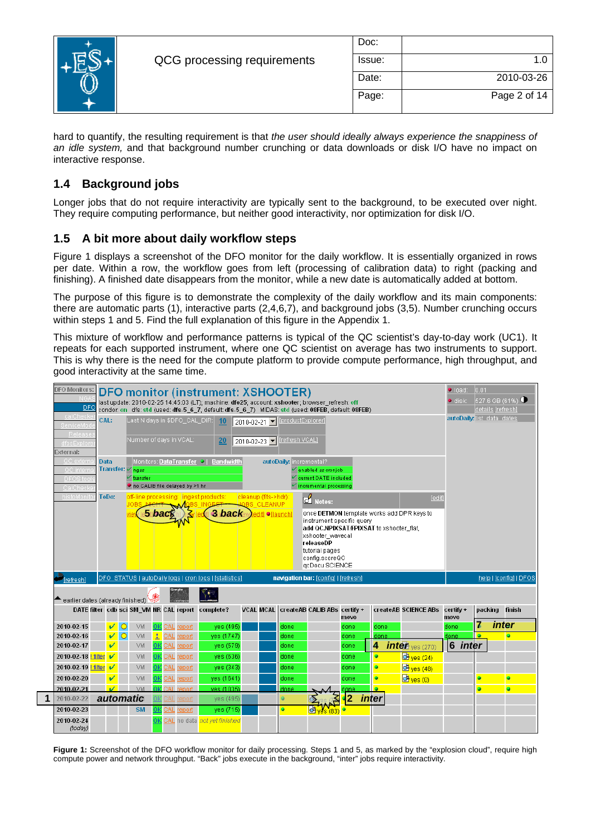

| Doc:   |              |
|--------|--------------|
| Issue: | 1.0          |
| Date:  | 2010-03-26   |
| Page:  | Page 2 of 14 |

hard to quantify, the resulting requirement is that *the user should ideally always experience the snappiness of an idle system,* and that background number crunching or data downloads or disk I/O have no impact on interactive response.

# **1.4 Background jobs**

Longer jobs that do not require interactivity are typically sent to the background, to be executed over night. They require computing performance, but neither good interactivity, nor optimization for disk I/O.

# **1.5 A bit more about daily workflow steps**

[Figure 1](#page-1-0) displays a screenshot of the DFO monitor for the daily workflow. It is essentially organized in rows per date. Within a row, the workflow goes from left (processing of calibration data) to right (packing and finishing). A finished date disappears from the monitor, while a new date is automatically added at bottom.

The purpose of this figure is to demonstrate the complexity of the daily workflow and its main components: there are automatic parts (1), interactive parts (2,4,6,7), and background jobs (3,5). Number crunching occurs within steps 1 and 5. Find the full explanation of this figure in the Appendix 1.

This mixture of workflow and performance patterns is typical of the QC scientist's day-to-day work (UC1). It repeats for each supported instrument, where one QC scientist on average has two instruments to support. This is why there is the need for the compute platform to provide compute performance, high throughput, and good interactivity at the same time.



<span id="page-1-0"></span>Figure 1: Screenshot of the DFO workflow monitor for daily processing. Steps 1 and 5, as marked by the "explosion cloud", require high compute power and network throughput. "Back" jobs execute in the background, "inter" jobs require interactivity.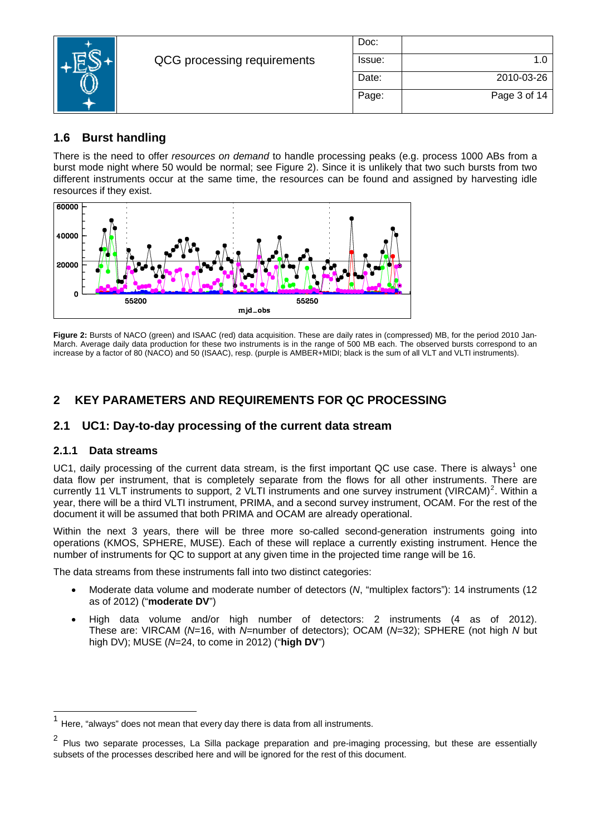

| Doc:   |              |
|--------|--------------|
| Issue: | 1.0          |
| Date:  | 2010-03-26   |
| Page:  | Page 3 of 14 |

# **1.6 Burst handling**

There is the need to offer *resources on demand* to handle processing peaks (e.g. process 1000 ABs from a burst mode night where 50 would be normal; see [Figure 2](#page-2-0)). Since it is unlikely that two such bursts from two different instruments occur at the same time, the resources can be found and assigned by harvesting idle resources if they exist.



<span id="page-2-0"></span>**Figure 2:** Bursts of NACO (green) and ISAAC (red) data acquisition. These are daily rates in (compressed) MB, for the period 2010 Jan-March. Average daily data production for these two instruments is in the range of 500 MB each. The observed bursts correspond to an increase by a factor of 80 (NACO) and 50 (ISAAC), resp. (purple is AMBER+MIDI; black is the sum of all VLT and VLTI instruments).

# **2 KEY PARAMETERS AND REQUIREMENTS FOR QC PROCESSING**

# **2.1 UC1: Day-to-day processing of the current data stream**

#### **2.1.1 Data streams**

 $\overline{a}$ 

UC[1](#page-2-1), daily processing of the current data stream, is the first important QC use case. There is always<sup>1</sup> one data flow per instrument, that is completely separate from the flows for all other instruments. There are currently 11 VLT instruments to support, [2](#page-2-2) VLTI instruments and one survey instrument (VIRCAM)<sup>2</sup>. Within a year, there will be a third VLTI instrument, PRIMA, and a second survey instrument, OCAM. For the rest of the document it will be assumed that both PRIMA and OCAM are already operational.

Within the next 3 years, there will be three more so-called second-generation instruments going into operations (KMOS, SPHERE, MUSE). Each of these will replace a currently existing instrument. Hence the number of instruments for QC to support at any given time in the projected time range will be 16.

The data streams from these instruments fall into two distinct categories:

- Moderate data volume and moderate number of detectors (*N*, "multiplex factors"): 14 instruments (12 as of 2012) ("**moderate DV**")
- High data volume and/or high number of detectors: 2 instruments (4 as of 2012). These are: VIRCAM (*N*=16, with *N*=number of detectors); OCAM (*N=*32); SPHERE (not high *N* but high DV); MUSE (*N*=24, to come in 2012) ("**high DV**")

<span id="page-2-1"></span>Here, "always" does not mean that every day there is data from all instruments.

<span id="page-2-2"></span> $2$  Plus two separate processes, La Silla package preparation and pre-imaging processing, but these are essentially subsets of the processes described here and will be ignored for the rest of this document.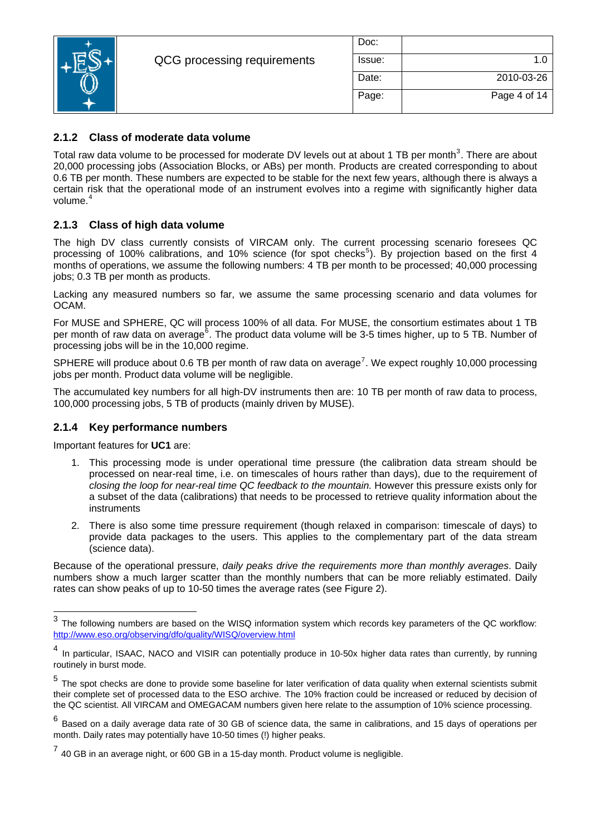

| Doc:   |              |
|--------|--------------|
| Issue: | 1 በ          |
| Date:  | 2010-03-26   |
| Page:  | Page 4 of 14 |

### **2.1.2 Class of moderate data volume**

Total raw data volume to be processed for moderate DV levels out at about 1 TB per month<sup>[3](#page-3-0)</sup>. There are about 20,000 processing jobs (Association Blocks, or ABs) per month. Products are created corresponding to about 0.6 TB per month. These numbers are expected to be stable for the next few years, although there is always a certain risk that the operational mode of an instrument evolves into a regime with significantly higher data volume.<sup>[4](#page-3-1)</sup>

### **2.1.3 Class of high data volume**

The high DV class currently consists of VIRCAM only. The current processing scenario foresees QC processing of 100% calibrations, and 10% science (for spot checks<sup>[5](#page-3-2)</sup>). By projection based on the first 4 months of operations, we assume the following numbers: 4 TB per month to be processed; 40,000 processing jobs; 0.3 TB per month as products.

Lacking any measured numbers so far, we assume the same processing scenario and data volumes for OCAM.

For MUSE and SPHERE, QC will process 100% of all data. For MUSE, the consortium estimates about 1 TB per month of raw data on average<sup>[6](#page-3-3)</sup>. The product data volume will be 3-5 times higher, up to 5 TB. Number of processing jobs will be in the 10,000 regime.

SPHERE will produce about 0.6 TB per month of raw data on average<sup>[7](#page-3-4)</sup>. We expect roughly 10,000 processing jobs per month. Product data volume will be negligible.

The accumulated key numbers for all high-DV instruments then are: 10 TB per month of raw data to process, 100,000 processing jobs, 5 TB of products (mainly driven by MUSE).

#### **2.1.4 Key performance numbers**

Important features for **UC1** are:

l

- 1. This processing mode is under operational time pressure (the calibration data stream should be processed on near-real time, i.e. on timescales of hours rather than days), due to the requirement of *closing the loop for near-real time QC feedback to the mountain.* However this pressure exists only for a subset of the data (calibrations) that needs to be processed to retrieve quality information about the instruments
- 2. There is also some time pressure requirement (though relaxed in comparison: timescale of days) to provide data packages to the users. This applies to the complementary part of the data stream (science data).

Because of the operational pressure, *daily peaks drive the requirements more than monthly averages*. Daily numbers show a much larger scatter than the monthly numbers that can be more reliably estimated. Daily rates can show peaks of up to 10-50 times the average rates (see [Figure 2](#page-2-0)).

<span id="page-3-0"></span> $3$  The following numbers are based on the WISQ information system which records key parameters of the QC workflow: <http://www.eso.org/observing/dfo/quality/WISQ/overview.html>

<span id="page-3-1"></span><sup>4</sup> In particular, ISAAC, NACO and VISIR can potentially produce in 10-50x higher data rates than currently, by running routinely in burst mode.

<span id="page-3-2"></span>The spot checks are done to provide some baseline for later verification of data quality when external scientists submit their complete set of processed data to the ESO archive. The 10% fraction could be increased or reduced by decision of the QC scientist. All VIRCAM and OMEGACAM numbers given here relate to the assumption of 10% science processing.

<span id="page-3-3"></span> $6$  Based on a daily average data rate of 30 GB of science data, the same in calibrations, and 15 days of operations per month. Daily rates may potentially have 10-50 times (!) higher peaks.

<span id="page-3-4"></span> $7$  40 GB in an average night, or 600 GB in a 15-day month. Product volume is negligible.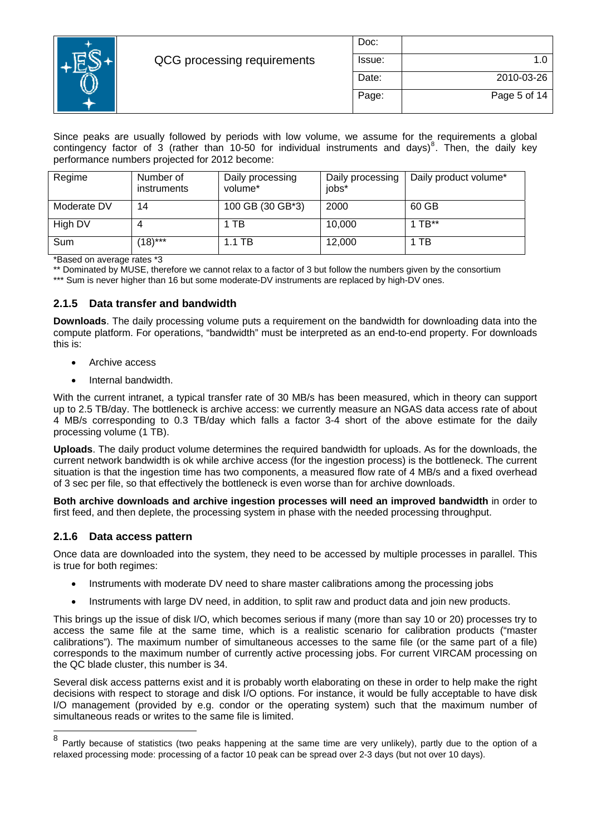

| Doc:   |              |
|--------|--------------|
| Issue: | 1.0          |
| Date:  | 2010-03-26   |
| Page:  | Page 5 of 14 |

Since peaks are usually followed by periods with low volume, we assume for the requirements a global contingency factor of  $3$  (rather than 10-50 for individual instruments and days)<sup>[8](#page-4-0)</sup>. Then, the daily key performance numbers projected for 2012 become:

| Regime      | Number of<br>instruments | Daily processing<br>volume* | Daily processing<br>jobs* | Daily product volume* |  |  |
|-------------|--------------------------|-----------------------------|---------------------------|-----------------------|--|--|
| Moderate DV | 14                       | 100 GB (30 GB*3)            | 2000                      | 60 GB                 |  |  |
| High DV     |                          | 1 TB                        | 10,000                    | 1 TB $**$             |  |  |
| Sum         | $(18)***$                | $1.1$ TB                    | 12,000                    | 1 TB                  |  |  |

\*Based on average rates \*3

\*\* Dominated by MUSE, therefore we cannot relax to a factor of 3 but follow the numbers given by the consortium

\*\*\* Sum is never higher than 16 but some moderate-DV instruments are replaced by high-DV ones.

#### **2.1.5 Data transfer and bandwidth**

**Downloads**. The daily processing volume puts a requirement on the bandwidth for downloading data into the compute platform. For operations, "bandwidth" must be interpreted as an end-to-end property. For downloads this is:

- Archive access
- Internal bandwidth.

With the current intranet, a typical transfer rate of 30 MB/s has been measured, which in theory can support up to 2.5 TB/day. The bottleneck is archive access: we currently measure an NGAS data access rate of about 4 MB/s corresponding to 0.3 TB/day which falls a factor 3-4 short of the above estimate for the daily processing volume (1 TB).

**Uploads**. The daily product volume determines the required bandwidth for uploads. As for the downloads, the current network bandwidth is ok while archive access (for the ingestion process) is the bottleneck. The current situation is that the ingestion time has two components, a measured flow rate of 4 MB/s and a fixed overhead of 3 sec per file, so that effectively the bottleneck is even worse than for archive downloads.

**Both archive downloads and archive ingestion processes will need an improved bandwidth** in order to first feed, and then deplete, the processing system in phase with the needed processing throughput.

#### **2.1.6 Data access pattern**

Once data are downloaded into the system, they need to be accessed by multiple processes in parallel. This is true for both regimes:

- Instruments with moderate DV need to share master calibrations among the processing jobs
- Instruments with large DV need, in addition, to split raw and product data and join new products.

This brings up the issue of disk I/O, which becomes serious if many (more than say 10 or 20) processes try to access the same file at the same time, which is a realistic scenario for calibration products ("master calibrations"). The maximum number of simultaneous accesses to the same file (or the same part of a file) corresponds to the maximum number of currently active processing jobs. For current VIRCAM processing on the QC blade cluster, this number is 34.

Several disk access patterns exist and it is probably worth elaborating on these in order to help make the right decisions with respect to storage and disk I/O options. For instance, it would be fully acceptable to have disk I/O management (provided by e.g. condor or the operating system) such that the maximum number of simultaneous reads or writes to the same file is limited.

<span id="page-4-0"></span> $\bf8$ Partly because of statistics (two peaks happening at the same time are very unlikely), partly due to the option of a relaxed processing mode: processing of a factor 10 peak can be spread over 2-3 days (but not over 10 days).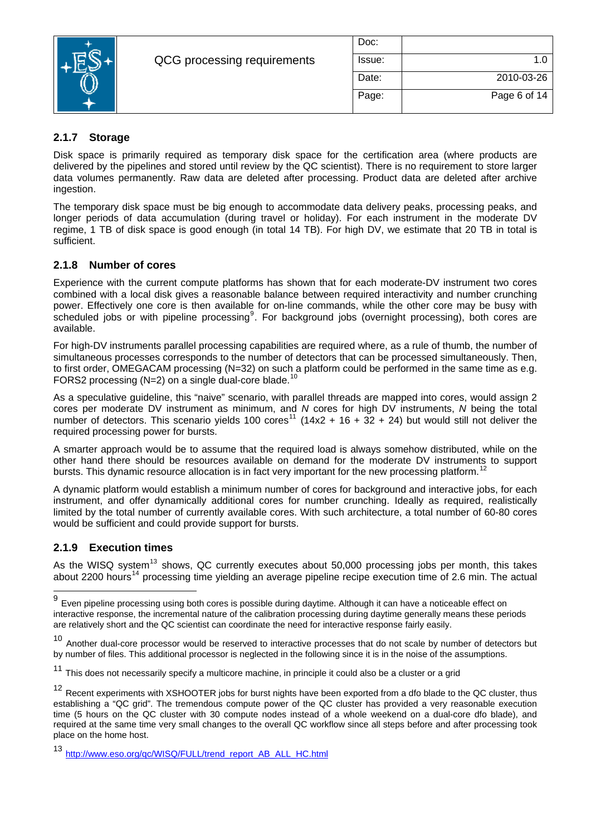

| Doc:   |              |
|--------|--------------|
| Issue: | 1.0          |
| Date:  | 2010-03-26   |
| Page:  | Page 6 of 14 |

## **2.1.7 Storage**

Disk space is primarily required as temporary disk space for the certification area (where products are delivered by the pipelines and stored until review by the QC scientist). There is no requirement to store larger data volumes permanently. Raw data are deleted after processing. Product data are deleted after archive ingestion.

The temporary disk space must be big enough to accommodate data delivery peaks, processing peaks, and longer periods of data accumulation (during travel or holiday). For each instrument in the moderate DV regime, 1 TB of disk space is good enough (in total 14 TB). For high DV, we estimate that 20 TB in total is sufficient.

#### **2.1.8 Number of cores**

Experience with the current compute platforms has shown that for each moderate-DV instrument two cores combined with a local disk gives a reasonable balance between required interactivity and number crunching power. Effectively one core is then available for on-line commands, while the other core may be busy with scheduled jobs or with pipeline processing<sup>[9](#page-5-0)</sup>. For background jobs (overnight processing), both cores are available.

For high-DV instruments parallel processing capabilities are required where, as a rule of thumb, the number of simultaneous processes corresponds to the number of detectors that can be processed simultaneously. Then, to first order, OMEGACAM processing (N=32) on such a platform could be performed in the same time as e.g. FORS2 processing (N=2) on a single dual-core blade.<sup>[10](#page-5-1)</sup>

As a speculative guideline, this "naive" scenario, with parallel threads are mapped into cores, would assign 2 cores per moderate DV instrument as minimum, and *N* cores for high DV instruments, *N* being the total number of detectors. This scenario yields 100 cores<sup>[11](#page-5-2)</sup> (14x2 + 16 + 32 + 24) but would still not deliver the required processing power for bursts.

A smarter approach would be to assume that the required load is always somehow distributed, while on the other hand there should be resources available on demand for the moderate DV instruments to support bursts. This dynamic resource allocation is in fact very important for the new processing platform.<sup>[12](#page-5-3)</sup>

A dynamic platform would establish a minimum number of cores for background and interactive jobs, for each instrument, and offer dynamically additional cores for number crunching. Ideally as required, realistically limited by the total number of currently available cores. With such architecture, a total number of 60-80 cores would be sufficient and could provide support for bursts.

#### <span id="page-5-6"></span>**2.1.9 Execution times**

l

As the WISQ system<sup>[13](#page-5-4)</sup> shows, QC currently executes about 50,000 processing jobs per month, this takes about 2200 hours<sup>[14](#page-5-5)</sup> processing time yielding an average pipeline recipe execution time of 2.6 min. The actual

<span id="page-5-0"></span> $9$  Even pipeline processing using both cores is possible during daytime. Although it can have a noticeable effect on interactive response, the incremental nature of the calibration processing during daytime generally means these periods are relatively short and the QC scientist can coordinate the need for interactive response fairly easily.

<span id="page-5-1"></span>Another dual-core processor would be reserved to interactive processes that do not scale by number of detectors but by number of files. This additional processor is neglected in the following since it is in the noise of the assumptions.

<span id="page-5-5"></span><span id="page-5-2"></span>This does not necessarily specify a multicore machine, in principle it could also be a cluster or a grid

<span id="page-5-3"></span> $12$  Recent experiments with XSHOOTER jobs for burst nights have been exported from a dfo blade to the QC cluster, thus establishing a "QC grid". The tremendous compute power of the QC cluster has provided a very reasonable execution time (5 hours on the QC cluster with 30 compute nodes instead of a whole weekend on a dual-core dfo blade), and required at the same time very small changes to the overall QC workflow since all steps before and after processing took place on the home host.

<span id="page-5-4"></span>[http://www.eso.org/qc/WISQ/FULL/trend\\_report\\_AB\\_ALL\\_HC.html](http://www.eso.org/qc/WISQ/FULL/trend_report_AB_ALL_HC.html)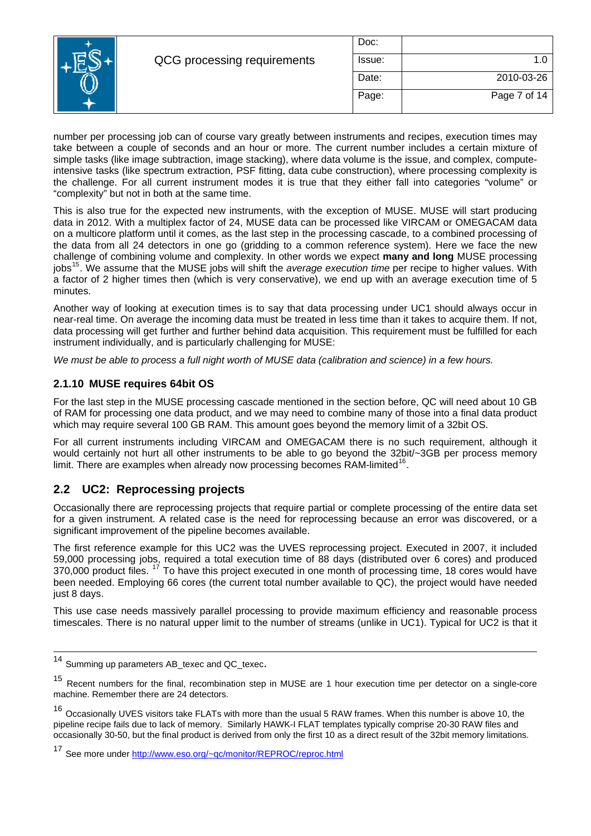|   |                             | Doc:   |              |
|---|-----------------------------|--------|--------------|
| Е | QCG processing requirements | Issue: |              |
|   |                             | Date:  | 2010-03-26   |
|   |                             | Page:  | Page 7 of 14 |
|   |                             |        |              |

number per processing job can of course vary greatly between instruments and recipes, execution times may take between a couple of seconds and an hour or more. The current number includes a certain mixture of simple tasks (like image subtraction, image stacking), where data volume is the issue, and complex, computeintensive tasks (like spectrum extraction, PSF fitting, data cube construction), where processing complexity is the challenge. For all current instrument modes it is true that they either fall into categories "volume" or "complexity" but not in both at the same time.

This is also true for the expected new instruments, with the exception of MUSE. MUSE will start producing data in 2012. With a multiplex factor of 24, MUSE data can be processed like VIRCAM or OMEGACAM data on a multicore platform until it comes, as the last step in the processing cascade, to a combined processing of the data from all 24 detectors in one go (gridding to a common reference system). Here we face the new challenge of combining volume and complexity. In other words we expect **many and long** MUSE processing jobs[15](#page-6-0). We assume that the MUSE jobs will shift the *average execution time* per recipe to higher values. With a factor of 2 higher times then (which is very conservative), we end up with an average execution time of 5 minutes.

Another way of looking at execution times is to say that data processing under UC1 should always occur in near-real time. On average the incoming data must be treated in less time than it takes to acquire them. If not, data processing will get further and further behind data acquisition. This requirement must be fulfilled for each instrument individually, and is particularly challenging for MUSE:

*We must be able to process a full night worth of MUSE data (calibration and science) in a few hours.* 

#### **2.1.10 MUSE requires 64bit OS**

For the last step in the MUSE processing cascade mentioned in the section before, QC will need about 10 GB of RAM for processing one data product, and we may need to combine many of those into a final data product which may require several 100 GB RAM. This amount goes beyond the memory limit of a 32bit OS.

For all current instruments including VIRCAM and OMEGACAM there is no such requirement, although it would certainly not hurt all other instruments to be able to go beyond the 32bit/~3GB per process memory limit. There are examples when already now processing becomes RAM-limited<sup>[16](#page-6-1)</sup>.

#### **2.2 UC2: Reprocessing projects**

Occasionally there are reprocessing projects that require partial or complete processing of the entire data set for a given instrument. A related case is the need for reprocessing because an error was discovered, or a significant improvement of the pipeline becomes available.

The first reference example for this UC2 was the UVES reprocessing project. Executed in 2007, it included 59,000 processing jobs, required a total execution time of 88 days (distributed over 6 cores) and produced 370,000 product files. <sup>[17](#page-6-2)</sup> To have this project executed in one month of processing time, 18 cores would have been needed. Employing 66 cores (the current total number available to QC), the project would have needed just 8 days.

This use case needs massively parallel processing to provide maximum efficiency and reasonable process timescales. There is no natural upper limit to the number of streams (unlike in UC1). Typical for UC2 is that it

l

<sup>14</sup> Summing up parameters AB\_texec and QC\_texec.

<span id="page-6-0"></span><sup>15</sup> Recent numbers for the final, recombination step in MUSE are 1 hour execution time per detector on a single-core machine. Remember there are 24 detectors.

<span id="page-6-1"></span><sup>&</sup>lt;sup>16</sup> Occasionally UVES visitors take FLATs with more than the usual 5 RAW frames. When this number is above 10, the pipeline recipe fails due to lack of memory. Similarly HAWK-I FLAT templates typically comprise 20-30 RAW files and occasionally 30-50, but the final product is derived from only the first 10 as a direct result of the 32bit memory limitations.

<span id="page-6-2"></span><sup>17</sup> See more under http://www.eso.org/~qc/monitor/REPROC/reproc.html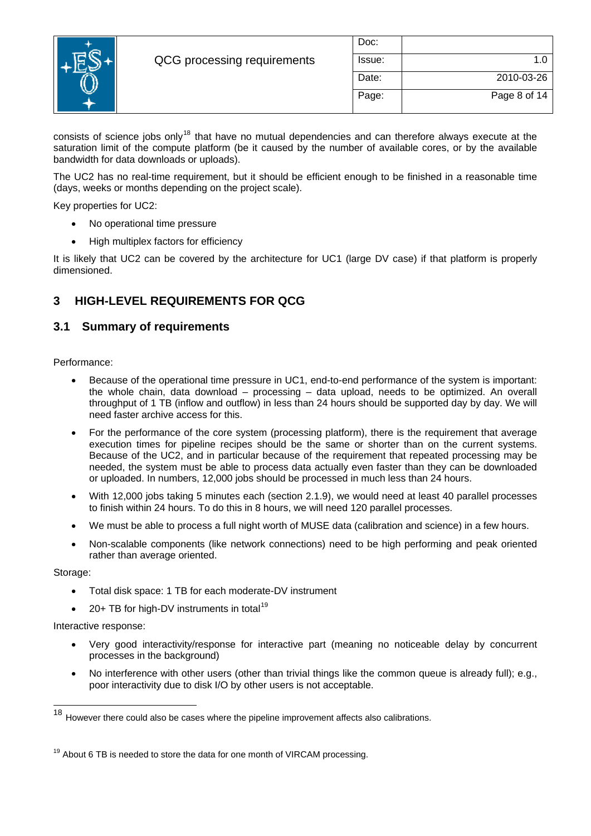

| Doc:   |              |
|--------|--------------|
| Issue: | 1.0          |
| Date:  | 2010-03-26   |
| Page:  | Page 8 of 14 |

consists of science jobs only<sup>[18](#page-7-0)</sup> that have no mutual dependencies and can therefore always execute at the saturation limit of the compute platform (be it caused by the number of available cores, or by the available bandwidth for data downloads or uploads).

The UC2 has no real-time requirement, but it should be efficient enough to be finished in a reasonable time (days, weeks or months depending on the project scale).

Key properties for UC2:

- No operational time pressure
- High multiplex factors for efficiency

It is likely that UC2 can be covered by the architecture for UC1 (large DV case) if that platform is properly dimensioned.

## **3 HIGH-LEVEL REQUIREMENTS FOR QCG**

### **3.1 Summary of requirements**

Performance:

- Because of the operational time pressure in UC1, end-to-end performance of the system is important: the whole chain, data download – processing – data upload, needs to be optimized. An overall throughput of 1 TB (inflow and outflow) in less than 24 hours should be supported day by day. We will need faster archive access for this.
- For the performance of the core system (processing platform), there is the requirement that average execution times for pipeline recipes should be the same or shorter than on the current systems. Because of the UC2, and in particular because of the requirement that repeated processing may be needed, the system must be able to process data actually even faster than they can be downloaded or uploaded. In numbers, 12,000 jobs should be processed in much less than 24 hours.
- With 12,000 jobs taking 5 minutes each (section [2.1.9](#page-5-6)), we would need at least 40 parallel processes to finish within 24 hours. To do this in 8 hours, we will need 120 parallel processes.
- We must be able to process a full night worth of MUSE data (calibration and science) in a few hours.
- Non-scalable components (like network connections) need to be high performing and peak oriented rather than average oriented.

Storage:

l

- Total disk space: 1 TB for each moderate-DV instrument
- 20+ TB for high-DV instruments in total<sup>[19](#page-7-1)</sup>

Interactive response:

- Very good interactivity/response for interactive part (meaning no noticeable delay by concurrent processes in the background)
- No interference with other users (other than trivial things like the common queue is already full); e.g., poor interactivity due to disk I/O by other users is not acceptable.

<span id="page-7-0"></span>However there could also be cases where the pipeline improvement affects also calibrations.

<span id="page-7-1"></span> $19$  About 6 TB is needed to store the data for one month of VIRCAM processing.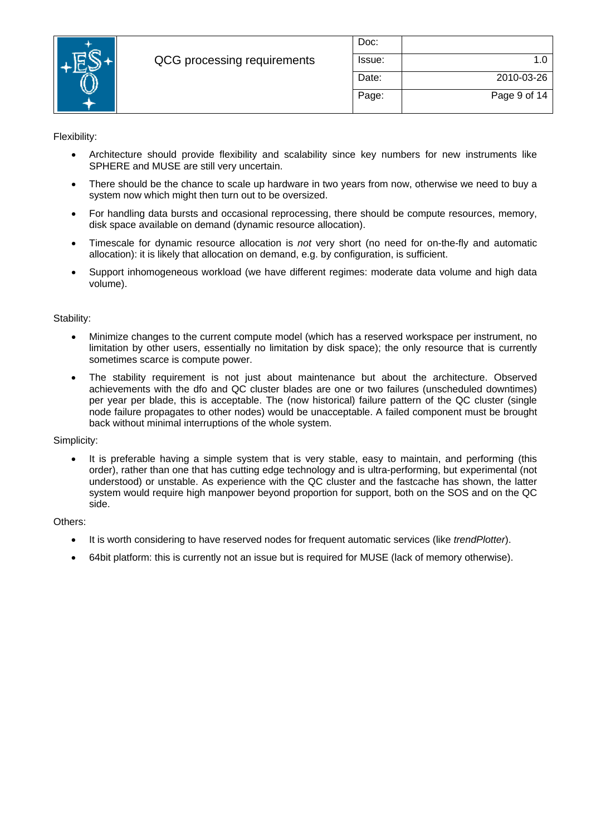

| Doc:   |              |
|--------|--------------|
| Issue: | 1.0          |
| Date:  | 2010-03-26   |
| Page:  | Page 9 of 14 |

Flexibility:

- Architecture should provide flexibility and scalability since key numbers for new instruments like SPHERE and MUSE are still very uncertain.
- There should be the chance to scale up hardware in two years from now, otherwise we need to buy a system now which might then turn out to be oversized.
- For handling data bursts and occasional reprocessing, there should be compute resources, memory, disk space available on demand (dynamic resource allocation).
- Timescale for dynamic resource allocation is *not* very short (no need for on-the-fly and automatic allocation): it is likely that allocation on demand, e.g. by configuration, is sufficient.
- Support inhomogeneous workload (we have different regimes: moderate data volume and high data volume).

#### Stability:

- Minimize changes to the current compute model (which has a reserved workspace per instrument, no limitation by other users, essentially no limitation by disk space); the only resource that is currently sometimes scarce is compute power.
- The stability requirement is not just about maintenance but about the architecture. Observed achievements with the dfo and QC cluster blades are one or two failures (unscheduled downtimes) per year per blade, this is acceptable. The (now historical) failure pattern of the QC cluster (single node failure propagates to other nodes) would be unacceptable. A failed component must be brought back without minimal interruptions of the whole system.

#### Simplicity:

It is preferable having a simple system that is very stable, easy to maintain, and performing (this order), rather than one that has cutting edge technology and is ultra-performing, but experimental (not understood) or unstable. As experience with the QC cluster and the fastcache has shown, the latter system would require high manpower beyond proportion for support, both on the SOS and on the QC side.

#### Others:

- It is worth considering to have reserved nodes for frequent automatic services (like *trendPlotter*).
- 64bit platform: this is currently not an issue but is required for MUSE (lack of memory otherwise).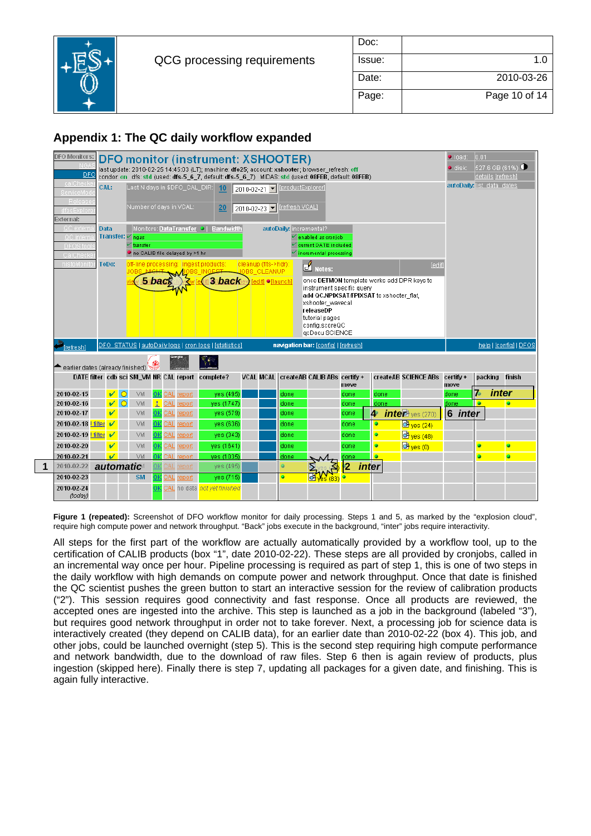

| Doc:   |               |
|--------|---------------|
| Issue: | 1 በ           |
| Date:  | 2010-03-26    |
| Page:  | Page 10 of 14 |

# **Appendix 1: The QC daily workflow expanded**

|                                  | <b>DFO monitor (instrument: XSHOOTER)</b><br>last update: 2010-02-25 14:45:03 (LT): machine: dfo25: account: xshooter: browser_refresh: off                                      |                          |            |                                         |    |               |                        |                                                        |                      |                  |                                 |                                             |                         |                            |                                            |              |                   |                         |  |
|----------------------------------|----------------------------------------------------------------------------------------------------------------------------------------------------------------------------------|--------------------------|------------|-----------------------------------------|----|---------------|------------------------|--------------------------------------------------------|----------------------|------------------|---------------------------------|---------------------------------------------|-------------------------|----------------------------|--------------------------------------------|--------------|-------------------|-------------------------|--|
| <b>DFO Monitors:</b>             |                                                                                                                                                                                  |                          |            |                                         |    |               |                        |                                                        |                      |                  |                                 |                                             | $\bullet$ load          | 0.01                       |                                            |              |                   |                         |  |
| DFO                              |                                                                                                                                                                                  |                          |            |                                         |    |               |                        |                                                        |                      |                  |                                 |                                             |                         |                            |                                            | • disk:      | details [refresh] | $\sqrt{527.6}$ GB (61%) |  |
| <b>calCheck</b>                  | condor: on dfs: std (used: dfs-5_6_7, default: dfs-5_6_7) MIDAS: std (used: 08FEB, default: 08FEB)<br>Last Nidays in \$DFO CAL DIR: 10<br>2010-02-21     DroductExplorer<br>CAL: |                          |            |                                         |    |               |                        |                                                        |                      |                  |                                 |                                             |                         | autoDaily: list data dates |                                            |              |                   |                         |  |
|                                  | ServiceMor                                                                                                                                                                       |                          |            |                                         |    |               |                        |                                                        |                      |                  |                                 |                                             |                         |                            |                                            |              |                   |                         |  |
| Releas<br>dfosExplori            |                                                                                                                                                                                  |                          |            | Number of days in VCAL:                 |    |               |                        | 20                                                     |                      |                  | 2010-02-23   F   Trefresh VCAL] |                                             |                         |                            |                                            |              |                   |                         |  |
| xternal:                         |                                                                                                                                                                                  |                          |            |                                         |    |               |                        |                                                        |                      |                  |                                 |                                             |                         |                            |                                            |              |                   |                         |  |
| QC extern                        | Data                                                                                                                                                                             |                          |            |                                         |    |               | Monitors: DataTransfer | <b>Bandwidth</b>                                       |                      |                  | autoDaily: incremental?         |                                             |                         |                            |                                            |              |                   |                         |  |
| QC intern<br><b>DFOS</b> tool    |                                                                                                                                                                                  |                          |            | Transfer: $v_{ngas}$<br>$\vee$ transfer |    |               |                        |                                                        |                      |                  |                                 | enabled as cronjob<br>current DATE included |                         |                            |                                            |              |                   |                         |  |
| CalCheck                         |                                                                                                                                                                                  |                          |            | I no CALIB file delayed by >1 hr        |    |               |                        |                                                        |                      |                  |                                 | incremental processing                      |                         |                            |                                            |              |                   |                         |  |
| histoMonit                       |                                                                                                                                                                                  | ToDo:                    |            |                                         |    |               |                        | off-line processing: ingest products:                  | cleanup (fits->hdr): |                  |                                 | $\frac{1}{\sqrt{2}}$ Notes:                 |                         |                            | <b>fedit</b>                               |              |                   |                         |  |
|                                  |                                                                                                                                                                                  |                          |            |                                         |    |               |                        |                                                        | JOBS CLEANUP         |                  |                                 |                                             |                         |                            |                                            |              |                   |                         |  |
|                                  |                                                                                                                                                                                  |                          |            |                                         |    | <b>5 back</b> |                        | <b>3 back</b>                                          |                      | [edit] ●[launch] |                                 | instrument specific query                   |                         |                            | once DETMON template works add DPR keys to |              |                   |                         |  |
|                                  |                                                                                                                                                                                  |                          |            |                                         |    |               |                        |                                                        |                      |                  |                                 | add QC.NPIXSAT/FPIXSAT to xshooter flat,    |                         |                            |                                            |              |                   |                         |  |
|                                  |                                                                                                                                                                                  |                          |            |                                         |    |               |                        |                                                        |                      |                  |                                 | xshooter wavecal<br>releaseDP               |                         |                            |                                            |              |                   |                         |  |
|                                  |                                                                                                                                                                                  |                          |            |                                         |    |               |                        |                                                        |                      |                  |                                 | tutorial pages                              |                         |                            |                                            |              |                   |                         |  |
|                                  |                                                                                                                                                                                  |                          |            |                                         |    |               |                        |                                                        |                      |                  |                                 | config.scoreQC<br>acDocu SCIENCE            |                         |                            |                                            |              |                   |                         |  |
| <b>Irefreshl</b>                 |                                                                                                                                                                                  |                          |            |                                         |    |               |                        | DFO STATUS   autoDaily logs   cron logs   [statistics] |                      |                  |                                 | navigation bar: [config]   [refresh]        |                         |                            |                                            |              |                   | help   [config]   DFOS  |  |
|                                  |                                                                                                                                                                                  |                          |            |                                         |    |               |                        |                                                        |                      |                  |                                 |                                             |                         |                            |                                            |              |                   |                         |  |
| earlier dates (already finished) |                                                                                                                                                                                  |                          |            |                                         |    |               |                        |                                                        |                      |                  |                                 |                                             |                         |                            |                                            |              |                   |                         |  |
|                                  |                                                                                                                                                                                  |                          |            | DATE filter cdb sci SM_VM NR CAL report |    |               |                        | complete?                                              | VCAL MCAL            |                  |                                 | createAB CALIB ABs certify +                |                         |                            | createAB SCIENCE ABs                       | certify +    | packing           | finish                  |  |
| 2010-02-15                       |                                                                                                                                                                                  | V                        | $\bigcirc$ | VM                                      |    |               | CAL report             | yes (495)                                              |                      |                  | done                            |                                             | move<br>done            | done                       |                                            | move<br>done | 7                 | inter                   |  |
| 2010-02-16                       |                                                                                                                                                                                  |                          | $\vee$ O   | <b>VM</b>                               |    |               | CAL report             | yes (1747)                                             |                      |                  | done                            |                                             | done                    | done                       |                                            | done         | $\bullet$         |                         |  |
| 2010-02-17                       |                                                                                                                                                                                  | V                        |            | VM.                                     | OK |               | CAL report             | yes (579)                                              |                      |                  | done                            |                                             | done                    | $\blacktriangle$           | $inter$ <sub>yes</sub> (270)               | 6 inter      |                   |                         |  |
| 2010-02-18   filter              |                                                                                                                                                                                  | $\overline{\mathscr{C}}$ |            | VM.                                     | ОK |               | CAL report             | yes (636)                                              |                      |                  | done                            |                                             | done                    | $\bullet$                  | $\frac{1}{2}$ yes (24)                     |              |                   |                         |  |
| 2010-02-19   filter              |                                                                                                                                                                                  | V                        |            | VM.                                     | ΟK | CAL           | report                 | yes (343)                                              |                      |                  | done                            |                                             | done                    | $\bullet$                  | $\frac{1}{\sqrt{2}}$ yes (48)              |              |                   |                         |  |
| 2010-02-20                       |                                                                                                                                                                                  | V                        |            | <b>VM</b>                               | ОK |               | CAL report             | ves (1641)                                             |                      |                  | done                            |                                             | done                    | $\bullet$                  | $\overline{O}$ yes (0)                     |              |                   | $\bullet$               |  |
| 2010-02-21                       |                                                                                                                                                                                  | $\boldsymbol{\nu}$       |            | VM                                      |    |               | OK CAL report          | yes (1035)                                             |                      |                  | done                            |                                             | done                    | $\bullet$                  |                                            |              | $\bullet$         | $\bullet$               |  |
| 2010-02-22                       |                                                                                                                                                                                  |                          | automatic  |                                         |    |               | AL report              | yes (495)                                              |                      |                  | $\bullet$                       |                                             | $\overline{2}$<br>inter |                            |                                            |              |                   |                         |  |
| 2010-02-23                       |                                                                                                                                                                                  |                          |            | <b>SM</b>                               |    | ЖL            | report                 | ves (715)                                              |                      |                  | ۰                               |                                             |                         |                            |                                            |              |                   |                         |  |
| 2010-02-24<br>(today)            |                                                                                                                                                                                  |                          |            |                                         |    |               |                        | OK CAL no data not yet finished                        |                      |                  |                                 |                                             |                         |                            |                                            |              |                   |                         |  |
|                                  |                                                                                                                                                                                  |                          |            |                                         |    |               |                        |                                                        |                      |                  |                                 |                                             |                         |                            |                                            |              |                   |                         |  |

Figure 1 (repeated): Screenshot of DFO workflow monitor for daily processing. Steps 1 and 5, as marked by the "explosion cloud", require high compute power and network throughput. "Back" jobs execute in the background, "inter" jobs require interactivity.

All steps for the first part of the workflow are actually automatically provided by a workflow tool, up to the certification of CALIB products (box "1", date 2010-02-22). These steps are all provided by cronjobs, called in an incremental way once per hour. Pipeline processing is required as part of step 1, this is one of two steps in the daily workflow with high demands on compute power and network throughput. Once that date is finished the QC scientist pushes the green button to start an interactive session for the review of calibration products ("2"). This session requires good connectivity and fast response. Once all products are reviewed, the accepted ones are ingested into the archive. This step is launched as a job in the background (labeled "3"), but requires good network throughput in order not to take forever. Next, a processing job for science data is interactively created (they depend on CALIB data), for an earlier date than 2010-02-22 (box 4). This job, and other jobs, could be launched overnight (step 5). This is the second step requiring high compute performance and network bandwidth, due to the download of raw files. Step 6 then is again review of products, plus ingestion (skipped here). Finally there is step 7, updating all packages for a given date, and finishing. This is again fully interactive.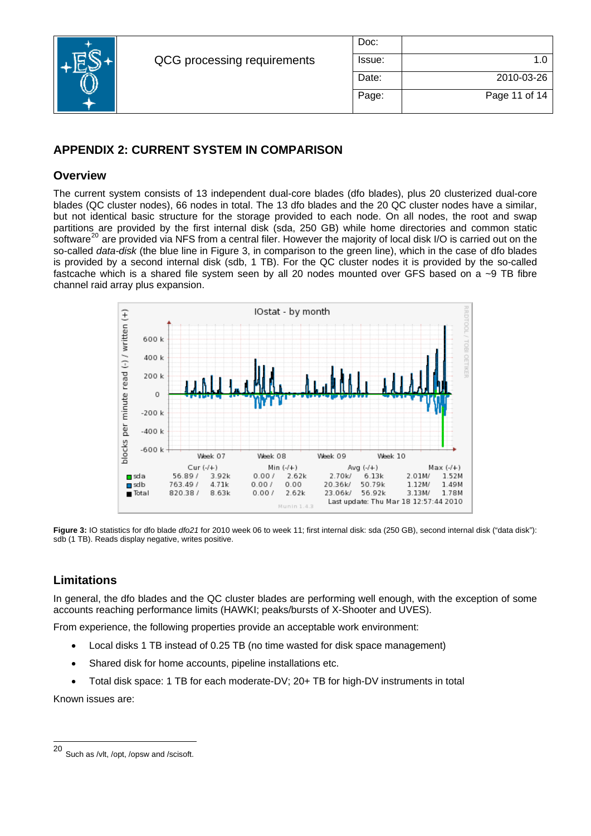

| Doc:   |               |
|--------|---------------|
| Issue: | 1.0           |
| Date:  | 2010-03-26    |
| Page:  | Page 11 of 14 |

# **APPENDIX 2: CURRENT SYSTEM IN COMPARISON**

### **Overview**

The current system consists of 13 independent dual-core blades (dfo blades), plus 20 clusterized dual-core blades (QC cluster nodes), 66 nodes in total. The 13 dfo blades and the 20 QC cluster nodes have a similar, but not identical basic structure for the storage provided to each node. On all nodes, the root and swap partitions are provided by the first internal disk (sda, 250 GB) while home directories and common static software<sup>[20](#page-10-0)</sup> are provided via NFS from a central filer. However the majority of local disk I/O is carried out on the so-called *data-disk* (the blue line in [Figure 3](#page-10-1), in comparison to the green line), which in the case of dfo blades is provided by a second internal disk (sdb, 1 TB). For the QC cluster nodes it is provided by the so-called fastcache which is a shared file system seen by all 20 nodes mounted over GFS based on a ~9 TB fibre channel raid array plus expansion.



<span id="page-10-1"></span>**Figure 3:** IO statistics for dfo blade *dfo21* for 2010 week 06 to week 11; first internal disk: sda (250 GB), second internal disk ("data disk"): sdb (1 TB). Reads display negative, writes positive.

# **Limitations**

In general, the dfo blades and the QC cluster blades are performing well enough, with the exception of some accounts reaching performance limits (HAWKI; peaks/bursts of X-Shooter and UVES).

From experience, the following properties provide an acceptable work environment:

- Local disks 1 TB instead of 0.25 TB (no time wasted for disk space management)
- Shared disk for home accounts, pipeline installations etc.
- Total disk space: 1 TB for each moderate-DV; 20+ TB for high-DV instruments in total

Known issues are:

<span id="page-10-0"></span><sup>20</sup> Such as /vlt, /opt, /opsw and /scisoft.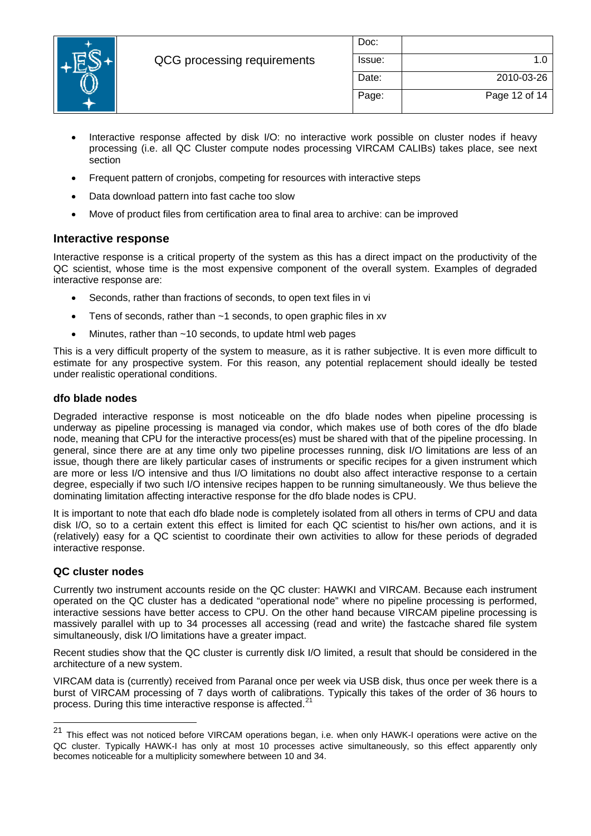

| Doc:   |               |
|--------|---------------|
| Issue: | 1.0           |
| Date:  | 2010-03-26    |
| Page:  | Page 12 of 14 |

- Interactive response affected by disk I/O: no interactive work possible on cluster nodes if heavy processing (i.e. all QC Cluster compute nodes processing VIRCAM CALIBs) takes place, see next section
- Frequent pattern of cronjobs, competing for resources with interactive steps
- Data download pattern into fast cache too slow
- Move of product files from certification area to final area to archive: can be improved

### **Interactive response**

Interactive response is a critical property of the system as this has a direct impact on the productivity of the QC scientist, whose time is the most expensive component of the overall system. Examples of degraded interactive response are:

- Seconds, rather than fractions of seconds, to open text files in vi
- Tens of seconds, rather than  $~1$  seconds, to open graphic files in xv
- Minutes, rather than  $~10$  seconds, to update html web pages

This is a very difficult property of the system to measure, as it is rather subjective. It is even more difficult to estimate for any prospective system. For this reason, any potential replacement should ideally be tested under realistic operational conditions.

#### **dfo blade nodes**

Degraded interactive response is most noticeable on the dfo blade nodes when pipeline processing is underway as pipeline processing is managed via condor, which makes use of both cores of the dfo blade node, meaning that CPU for the interactive process(es) must be shared with that of the pipeline processing. In general, since there are at any time only two pipeline processes running, disk I/O limitations are less of an issue, though there are likely particular cases of instruments or specific recipes for a given instrument which are more or less I/O intensive and thus I/O limitations no doubt also affect interactive response to a certain degree, especially if two such I/O intensive recipes happen to be running simultaneously. We thus believe the dominating limitation affecting interactive response for the dfo blade nodes is CPU.

It is important to note that each dfo blade node is completely isolated from all others in terms of CPU and data disk I/O, so to a certain extent this effect is limited for each QC scientist to his/her own actions, and it is (relatively) easy for a QC scientist to coordinate their own activities to allow for these periods of degraded interactive response.

#### **QC cluster nodes**

l

Currently two instrument accounts reside on the QC cluster: HAWKI and VIRCAM. Because each instrument operated on the QC cluster has a dedicated "operational node" where no pipeline processing is performed, interactive sessions have better access to CPU. On the other hand because VIRCAM pipeline processing is massively parallel with up to 34 processes all accessing (read and write) the fastcache shared file system simultaneously, disk I/O limitations have a greater impact.

Recent studies show that the QC cluster is currently disk I/O limited, a result that should be considered in the architecture of a new system.

VIRCAM data is (currently) received from Paranal once per week via USB disk, thus once per week there is a burst of VIRCAM processing of 7 days worth of calibrations. Typically this takes of the order of 36 hours to process. During this time interactive response is affected.<sup>[21](#page-11-0)</sup>

<span id="page-11-0"></span><sup>&</sup>lt;sup>21</sup> This effect was not noticed before VIRCAM operations began, i.e. when only HAWK-I operations were active on the QC cluster. Typically HAWK-I has only at most 10 processes active simultaneously, so this effect apparently only becomes noticeable for a multiplicity somewhere between 10 and 34.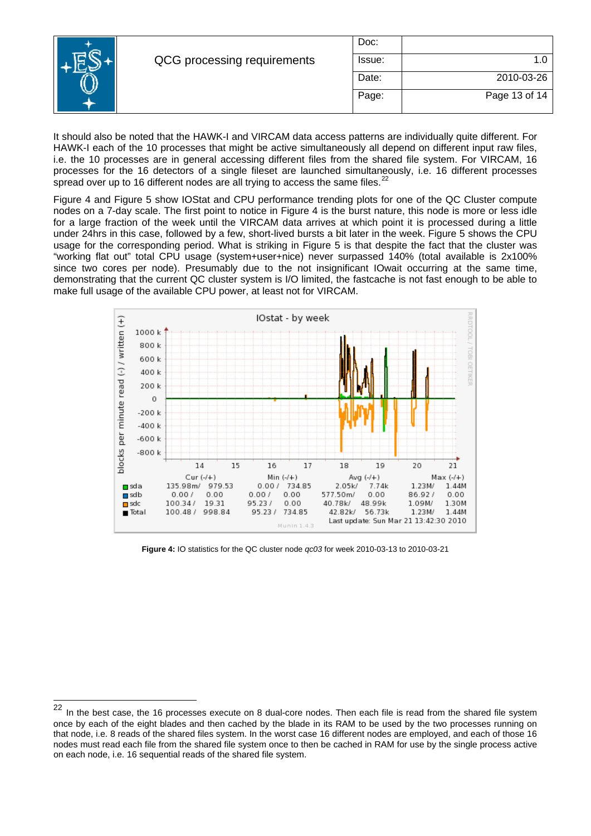|                             | Doc:   |               |
|-----------------------------|--------|---------------|
| QCG processing requirements | Issue: |               |
|                             | Date:  | 2010-03-26    |
|                             | Page:  | Page 13 of 14 |

It should also be noted that the HAWK-I and VIRCAM data access patterns are individually quite different. For HAWK-I each of the 10 processes that might be active simultaneously all depend on different input raw files, i.e. the 10 processes are in general accessing different files from the shared file system. For VIRCAM, 16 processes for the 16 detectors of a single fileset are launched simultaneously, i.e. 16 different processes spread over up to 16 different nodes are all trying to access the same files.<sup>[22](#page-12-0)</sup>

[Figure 4](#page-12-1) and [Figure 5](#page-13-0) show IOStat and CPU performance trending plots for one of the QC Cluster compute nodes on a 7-day scale. The first point to notice in [Figure 4](#page-12-1) is the burst nature, this node is more or less idle for a large fraction of the week until the VIRCAM data arrives at which point it is processed during a little under 24hrs in this case, followed by a few, short-lived bursts a bit later in the week. [Figure 5](#page-13-0) shows the CPU usage for the corresponding period. What is striking in [Figure 5](#page-13-0) is that despite the fact that the cluster was "working flat out" total CPU usage (system+user+nice) never surpassed 140% (total available is 2x100% since two cores per node). Presumably due to the not insignificant IOwait occurring at the same time, demonstrating that the current QC cluster system is I/O limited, the fastcache is not fast enough to be able to make full usage of the available CPU power, at least not for VIRCAM.



<span id="page-12-1"></span>**Figure 4:** IO statistics for the QC cluster node *qc03* for week 2010-03-13 to 2010-03-21

l

<span id="page-12-0"></span>In the best case, the 16 processes execute on 8 dual-core nodes. Then each file is read from the shared file system once by each of the eight blades and then cached by the blade in its RAM to be used by the two processes running on that node, i.e. 8 reads of the shared files system. In the worst case 16 different nodes are employed, and each of those 16 nodes must read each file from the shared file system once to then be cached in RAM for use by the single process active on each node, i.e. 16 sequential reads of the shared file system.